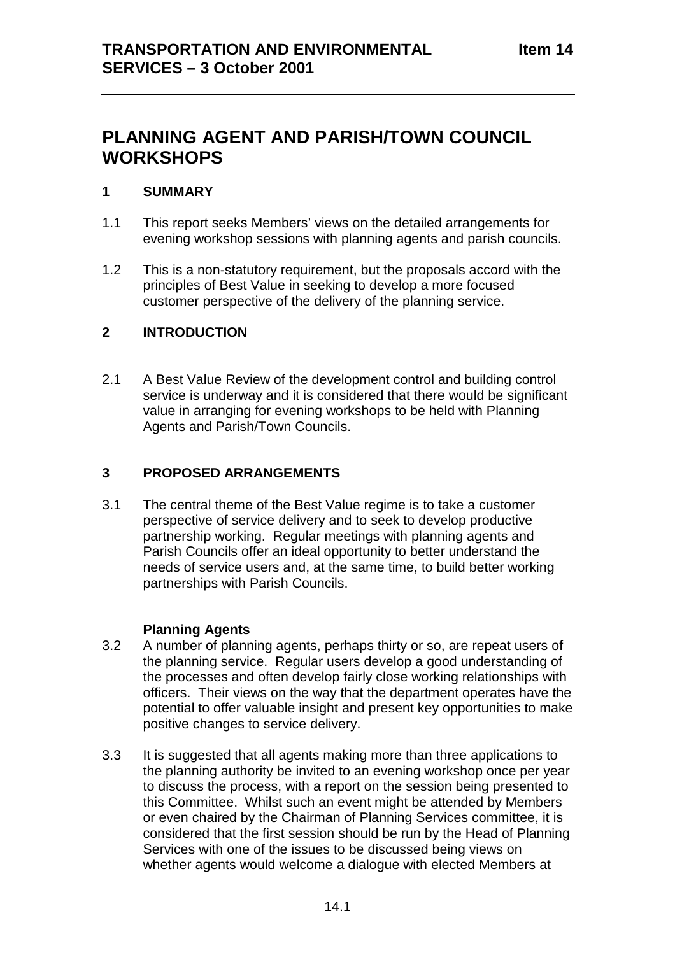# **PLANNING AGENT AND PARISH/TOWN COUNCIL WORKSHOPS**

#### **1 SUMMARY**

- 1.1 This report seeks Members' views on the detailed arrangements for evening workshop sessions with planning agents and parish councils.
- 1.2 This is a non-statutory requirement, but the proposals accord with the principles of Best Value in seeking to develop a more focused customer perspective of the delivery of the planning service.

# **2 INTRODUCTION**

2.1 A Best Value Review of the development control and building control service is underway and it is considered that there would be significant value in arranging for evening workshops to be held with Planning Agents and Parish/Town Councils.

# **3 PROPOSED ARRANGEMENTS**

3.1 The central theme of the Best Value regime is to take a customer perspective of service delivery and to seek to develop productive partnership working. Regular meetings with planning agents and Parish Councils offer an ideal opportunity to better understand the needs of service users and, at the same time, to build better working partnerships with Parish Councils.

#### **Planning Agents**

- 3.2 A number of planning agents, perhaps thirty or so, are repeat users of the planning service. Regular users develop a good understanding of the processes and often develop fairly close working relationships with officers. Their views on the way that the department operates have the potential to offer valuable insight and present key opportunities to make positive changes to service delivery.
- 3.3 It is suggested that all agents making more than three applications to the planning authority be invited to an evening workshop once per year to discuss the process, with a report on the session being presented to this Committee. Whilst such an event might be attended by Members or even chaired by the Chairman of Planning Services committee, it is considered that the first session should be run by the Head of Planning Services with one of the issues to be discussed being views on whether agents would welcome a dialogue with elected Members at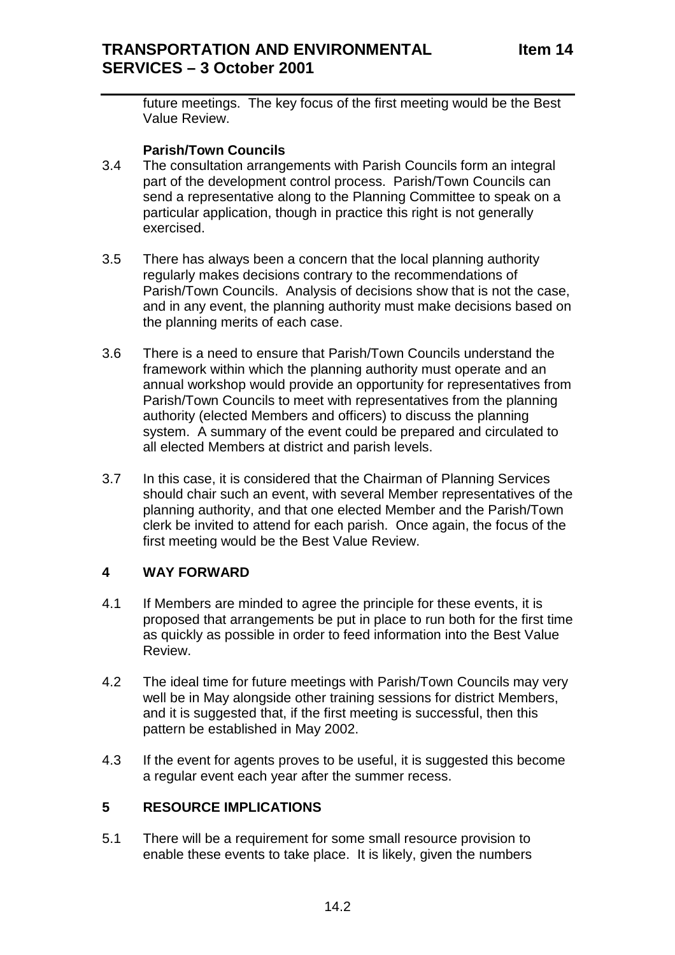future meetings. The key focus of the first meeting would be the Best Value Review.

# **Parish/Town Councils**

- 3.4 The consultation arrangements with Parish Councils form an integral part of the development control process. Parish/Town Councils can send a representative along to the Planning Committee to speak on a particular application, though in practice this right is not generally exercised.
- 3.5 There has always been a concern that the local planning authority regularly makes decisions contrary to the recommendations of Parish/Town Councils. Analysis of decisions show that is not the case, and in any event, the planning authority must make decisions based on the planning merits of each case.
- 3.6 There is a need to ensure that Parish/Town Councils understand the framework within which the planning authority must operate and an annual workshop would provide an opportunity for representatives from Parish/Town Councils to meet with representatives from the planning authority (elected Members and officers) to discuss the planning system. A summary of the event could be prepared and circulated to all elected Members at district and parish levels.
- 3.7 In this case, it is considered that the Chairman of Planning Services should chair such an event, with several Member representatives of the planning authority, and that one elected Member and the Parish/Town clerk be invited to attend for each parish. Once again, the focus of the first meeting would be the Best Value Review.

# **4 WAY FORWARD**

- 4.1 If Members are minded to agree the principle for these events, it is proposed that arrangements be put in place to run both for the first time as quickly as possible in order to feed information into the Best Value Review.
- 4.2 The ideal time for future meetings with Parish/Town Councils may very well be in May alongside other training sessions for district Members, and it is suggested that, if the first meeting is successful, then this pattern be established in May 2002.
- 4.3 If the event for agents proves to be useful, it is suggested this become a regular event each year after the summer recess.

# **5 RESOURCE IMPLICATIONS**

5.1 There will be a requirement for some small resource provision to enable these events to take place. It is likely, given the numbers